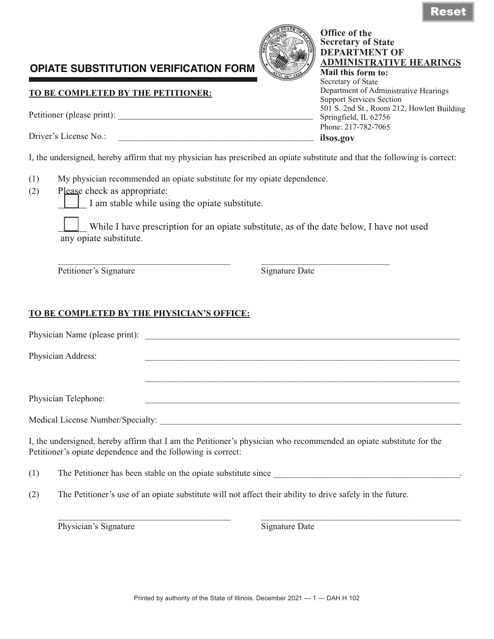## **OPIATE SUBSTITUTION VERIFICATION FORM**

## **TO BE COMPLETED BY THE PETITIONER:**

Petitioner (please print):

Driver's License No.:

Physician Address:

Physician Telephone:

I, the undersigned, hereby affirm that my physician has prescribed an opiate substitute and that the following is correct:

- (1) My physician recommended an opiate substitute for my opiate dependence.
- (2) Please check as appropriate:

I am stable while using the opiate substitute.

While I have prescription for an opiate substitute, as of the date below, I have not used any opiate substitute.

\_\_\_\_\_\_\_\_\_\_\_\_\_\_\_\_\_\_\_\_\_\_\_\_\_\_\_\_\_\_\_\_\_\_\_\_\_\_\_ \_\_\_\_\_\_\_\_\_\_\_\_\_\_\_\_\_\_\_\_\_\_\_\_\_\_\_\_\_

Physician Name (please print):

Petitioner's Signature Signature Date

 $\mathcal{L}_\text{max} = \mathcal{L}_\text{max} = \mathcal{L}_\text{max} = \mathcal{L}_\text{max} = \mathcal{L}_\text{max} = \mathcal{L}_\text{max} = \mathcal{L}_\text{max} = \mathcal{L}_\text{max} = \mathcal{L}_\text{max} = \mathcal{L}_\text{max} = \mathcal{L}_\text{max} = \mathcal{L}_\text{max} = \mathcal{L}_\text{max} = \mathcal{L}_\text{max} = \mathcal{L}_\text{max} = \mathcal{L}_\text{max} = \mathcal{L}_\text{max} = \mathcal{L}_\text{max} = \mathcal{$ 

## **TO BE COMPLETED BY THE PHYSICIAN'S OFFICE:**

Medical License Number/Specialty: I, the undersigned, hereby affirm that I am the Petitioner's physician who recommended an opiate substitute for the

Petitioner's opiate dependence and the following is correct:

(1) The Petitioner has been stable on the opiate substitute since

(2) The Petitioner's use of an opiate substitute will not affect their ability to drive safely in the future.

Physician's Signature  $\Box$  Signature Date

\_\_\_\_\_\_\_\_\_\_\_\_\_\_\_\_\_\_\_\_\_\_\_\_\_\_\_\_\_\_\_\_\_\_\_\_\_\_\_ \_\_\_\_\_\_\_\_\_\_\_\_\_\_\_\_\_\_\_\_\_\_\_\_\_\_\_\_\_\_\_\_\_\_\_\_\_\_\_\_\_\_\_\_\_



**Office of the Secretary of State DEPARTMENT OF** 

**Mail this form to:**  Secretary of State

Springfield, IL 62756 Phone: 217-782-7065

**ilsos.gov**

Support Services Section

**ADMINISTRATIVE HEARINGS**

501 S. 2nd St., Room 212, Howlett Building

Department of Administrative Hearings